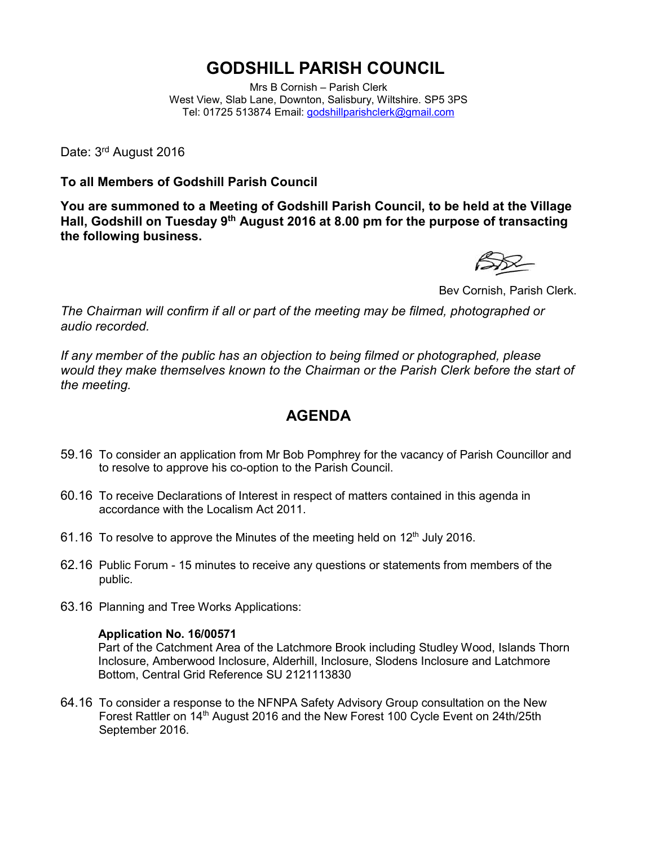## **GODSHILL PARISH COUNCIL**

Mrs B Cornish – Parish Clerk West View, Slab Lane, Downton, Salisbury, Wiltshire. SP5 3PS Tel: 01725 513874 Email: [godshillparishclerk@gmail.com](mailto:godshillparishclerk@gmail.com)

Date: 3<sup>rd</sup> August 2016

**To all Members of Godshill Parish Council**

**You are summoned to a Meeting of Godshill Parish Council, to be held at the Village Hall, Godshill on Tuesday 9 th August 2016 at 8.00 pm for the purpose of transacting the following business.**



Bev Cornish, Parish Clerk.

*The Chairman will confirm if all or part of the meeting may be filmed, photographed or audio recorded.*

*If any member of the public has an objection to being filmed or photographed, please would they make themselves known to the Chairman or the Parish Clerk before the start of the meeting.*

## **AGENDA**

- 59.16 To consider an application from Mr Bob Pomphrey for the vacancy of Parish Councillor and to resolve to approve his co-option to the Parish Council.
- 60.16 To receive Declarations of Interest in respect of matters contained in this agenda in accordance with the Localism Act 2011.
- 61.16 To resolve to approve the Minutes of the meeting held on  $12<sup>th</sup>$  July 2016.
- 62.16 Public Forum 15 minutes to receive any questions or statements from members of the public.
- 63.16 Planning and Tree Works Applications:

## **Application No. 16/00571**

Part of the Catchment Area of the Latchmore Brook including Studley Wood, Islands Thorn Inclosure, Amberwood Inclosure, Alderhill, Inclosure, Slodens Inclosure and Latchmore Bottom, Central Grid Reference SU 2121113830

64.16 To consider a response to the NFNPA Safety Advisory Group consultation on the New Forest Rattler on 14th August 2016 and the New Forest 100 Cycle Event on 24th/25th September 2016.